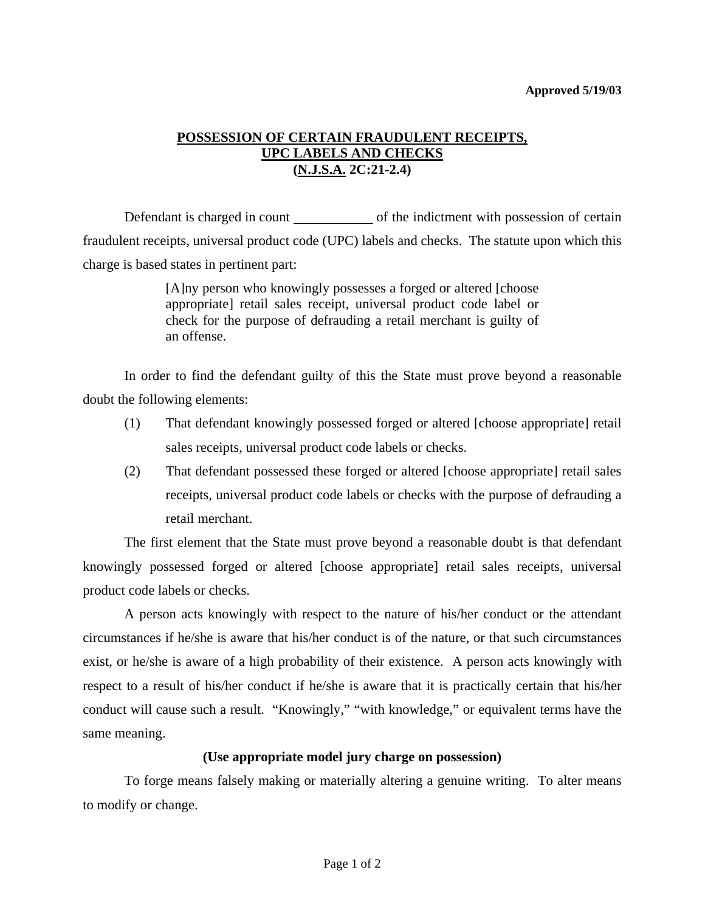## **POSSESSION OF CERTAIN FRAUDULENT RECEIPTS, UPC LABELS AND CHECKS (N.J.S.A. 2C:21-2.4)**

Defendant is charged in count of the indictment with possession of certain fraudulent receipts, universal product code (UPC) labels and checks. The statute upon which this charge is based states in pertinent part:

> [A]ny person who knowingly possesses a forged or altered [choose appropriate] retail sales receipt, universal product code label or check for the purpose of defrauding a retail merchant is guilty of an offense.

 In order to find the defendant guilty of this the State must prove beyond a reasonable doubt the following elements:

- (1) That defendant knowingly possessed forged or altered [choose appropriate] retail sales receipts, universal product code labels or checks.
- (2) That defendant possessed these forged or altered [choose appropriate] retail sales receipts, universal product code labels or checks with the purpose of defrauding a retail merchant.

 The first element that the State must prove beyond a reasonable doubt is that defendant knowingly possessed forged or altered [choose appropriate] retail sales receipts, universal product code labels or checks.

 A person acts knowingly with respect to the nature of his/her conduct or the attendant circumstances if he/she is aware that his/her conduct is of the nature, or that such circumstances exist, or he/she is aware of a high probability of their existence. A person acts knowingly with respect to a result of his/her conduct if he/she is aware that it is practically certain that his/her conduct will cause such a result. "Knowingly," "with knowledge," or equivalent terms have the same meaning.

## **(Use appropriate model jury charge on possession)**

<span id="page-0-0"></span> To forge means falsely making or materially altering a genuine writing. To alter means to modify or change.